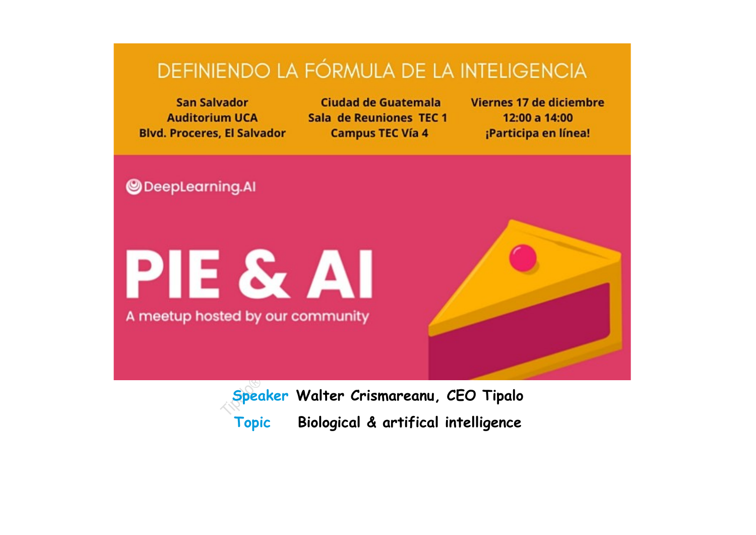# DEFINIENDO LA FÓRMULA DE LA INTELIGENCIA

**San Salvador** Ciudad de Guatemala Viernes 17 de diciembre **Auditorium UCA** Sala de Reuniones TFC 1 12:00 a 14:00 **Blvd. Proceres, El Salvador Campus TEC Vía 4** ¡Participa en línea! **ODeepLearning.AI PIE & AI** A meetup hosted by our community

> **Speaker Walter Crismareanu, CEO Tipalo Topic Biological & artifical intelligence**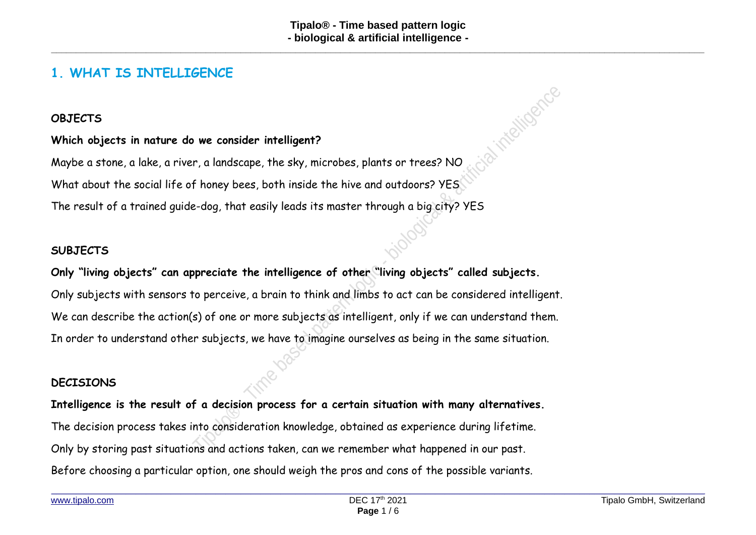### **1. WHAT IS INTELLIGENCE**

### **OBJECTS**

#### **Which objects in nature do we consider intelligent?**

Maybe a stone, a lake, a river, a landscape, the sky, microbes, plants or trees? NO What about the social life of honey bees, both inside the hive and outdoors? YES The result of a trained guide-dog, that easily leads its master through a big city? YES

#### **SUBJECTS**

### **Only "living objects" can appreciate the intelligence of other "living objects" called subjects.**

Only subjects with sensors to perceive, a brain to think and limbs to act can be considered intelligent. We can describe the action(s) of one or more subjects as intelligent, only if we can understand them. In order to understand other subjects, we have to imagine ourselves as being in the same situation.

### **DECISIONS**

**Intelligence is the result of a decision process for a certain situation with many alternatives.** The decision process takes into consideration knowledge, obtained as experience during lifetime. Only by storing past situations and actions taken, can we remember what happened in our past. Before choosing a particular option, one should weigh the pros and cons of the possible variants.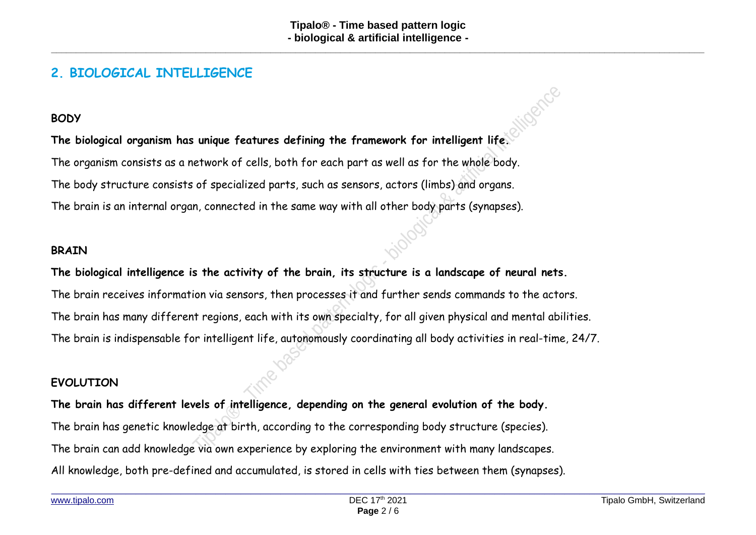### **2. BIOLOGICAL INTELLIGENCE**

### **BODY**

**The biological organism has unique features defining the framework for intelligent life.** The organism consists as a network of cells, both for each part as well as for the whole body. The body structure consists of specialized parts, such as sensors, actors (limbs) and organs. The brain is an internal organ, connected in the same way with all other body parts (synapses).

### **BRAIN**

### **The biological intelligence is the activity of the brain, its structure is a landscape of neural nets.**

The brain receives information via sensors, then processes it and further sends commands to the actors. The brain has many different regions, each with its own specialty, for all given physical and mental abilities. The brain is indispensable for intelligent life, autonomously coordinating all body activities in real-time, 24/7.

### **EVOLUTION**

**The brain has different levels of intelligence, depending on the general evolution of the body.** The brain has genetic knowledge at birth, according to the corresponding body structure (species). The brain can add knowledge via own experience by exploring the environment with many landscapes. All knowledge, both pre-defined and accumulated, is stored in cells with ties between them (synapses).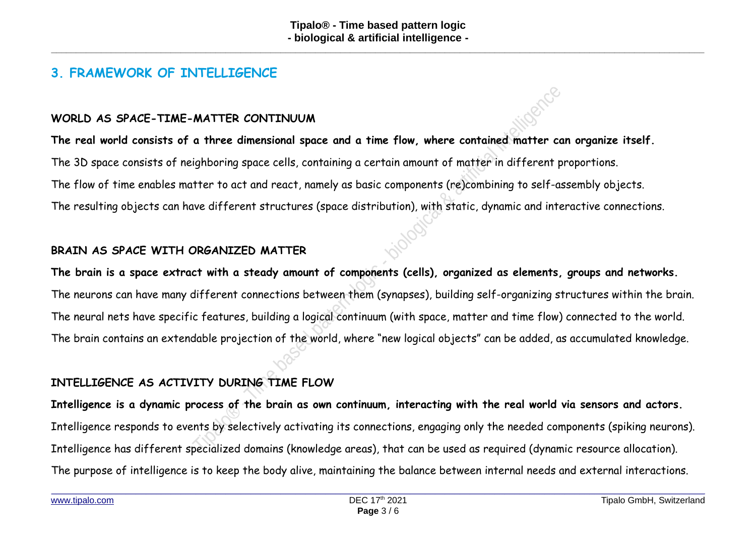### **3. FRAMEWORK OF INTELLIGENCE**

### **WORLD AS SPACE-TIME-MATTER CONTINUUM**

**The real world consists of a three dimensional space and a time flow, where contained matter can organize itself.** The 3D space consists of neighboring space cells, containing a certain amount of matter in different proportions. The flow of time enables matter to act and react, namely as basic components (re)combining to self-assembly objects. The resulting objects can have different structures (space distribution), with static, dynamic and interactive connections.

### **BRAIN AS SPACE WITH ORGANIZED MATTER**

**The brain is a space extract with a steady amount of components (cells), organized as elements, groups and networks.** The neurons can have many different connections between them (synapses), building self-organizing structures within the brain. The neural nets have specific features, building a logical continuum (with space, matter and time flow) connected to the world. The brain contains an extendable projection of the world, where "new logical objects" can be added, as accumulated knowledge.

### **INTELLIGENCE AS ACTIVITY DURING TIME FLOW**

**Intelligence is a dynamic process of the brain as own continuum, interacting with the real world via sensors and actors.** Intelligence responds to events by selectively activating its connections, engaging only the needed components (spiking neurons). Intelligence has different specialized domains (knowledge areas), that can be used as required (dynamic resource allocation). The purpose of intelligence is to keep the body alive, maintaining the balance between internal needs and external interactions.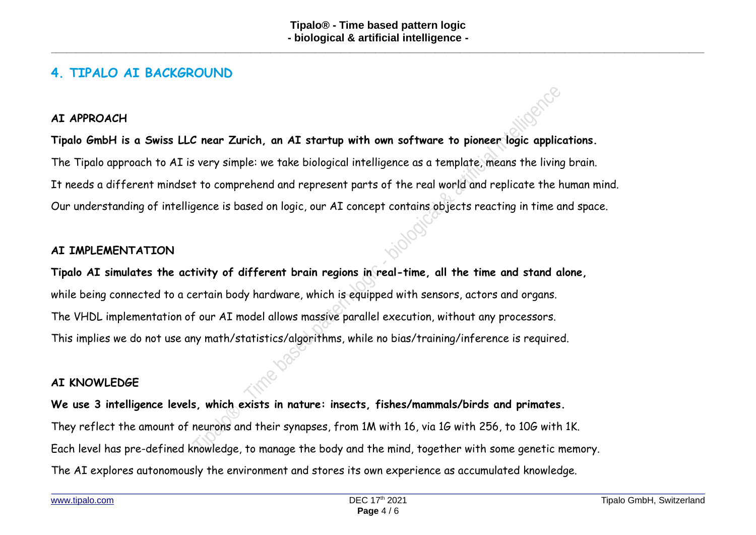### **4. TIPALO AI BACKGROUND**

### **AI APPROACH**

**Tipalo GmbH is a Swiss LLC near Zurich, an AI startup with own software to pioneer logic applications.** The Tipalo approach to AI is very simple: we take biological intelligence as a template, means the living brain. It needs a different mindset to comprehend and represent parts of the real world and replicate the human mind. Our understanding of intelligence is based on logic, our AI concept contains objects reacting in time and space.

### **AI IMPLEMENTATION**

**Tipalo AI simulates the activity of different brain regions in real-time, all the time and stand alone,** while being connected to a certain body hardware, which is equipped with sensors, actors and organs. The VHDL implementation of our AI model allows massive parallel execution, without any processors. This implies we do not use any math/statistics/algorithms, while no bias/training/inference is required.

#### **AI KNOWLEDGE**

**We use 3 intelligence levels, which exists in nature: insects, fishes/mammals/birds and primates.** They reflect the amount of neurons and their synapses, from 1M with 16, via 1G with 256, to 10G with 1K. Each level has pre-defined knowledge, to manage the body and the mind, together with some genetic memory. The AI explores autonomously the environment and stores its own experience as accumulated knowledge.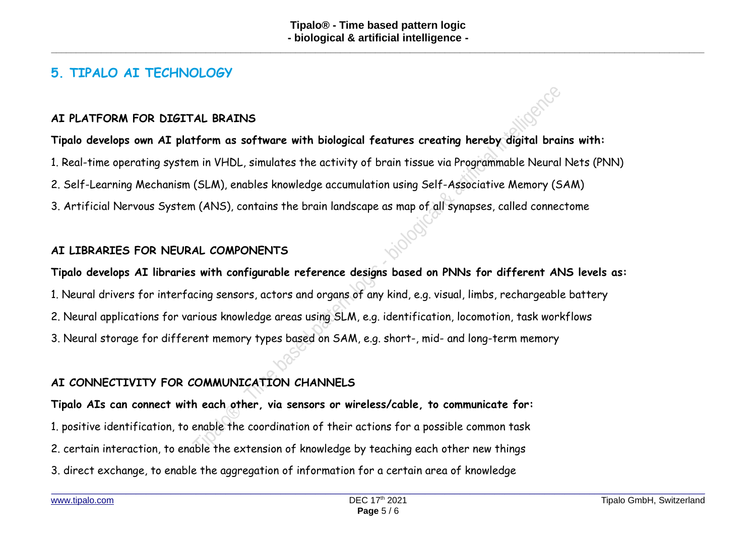### **5. TIPALO AI TECHNOLOGY**

### **AI PLATFORM FOR DIGITAL BRAINS**

### **Tipalo develops own AI platform as software with biological features creating hereby digital brains with:**

1. Real-time operating system in VHDL, simulates the activity of brain tissue via Programmable Neural Nets (PNN)

2. Self-Learning Mechanism (SLM), enables knowledge accumulation using Self-Associative Memory (SAM)

3. Artificial Nervous System (ANS), contains the brain landscape as map of all synapses, called connectome

### **AI LIBRARIES FOR NEURAL COMPONENTS**

## **Tipalo develops AI libraries with configurable reference designs based on PNNs for different ANS levels as:** 1. Neural drivers for interfacing sensors, actors and organs of any kind, e.g. visual, limbs, rechargeable battery 2. Neural applications for various knowledge areas using SLM, e.g. identification, locomotion, task workflows 3. Neural storage for different memory types based on SAM, e.g. short-, mid- and long-term memory

### **AI CONNECTIVITY FOR COMMUNICATION CHANNELS**

**Tipalo AIs can connect with each other, via sensors or wireless/cable, to communicate for:** 1. positive identification, to enable the coordination of their actions for a possible common task 2. certain interaction, to enable the extension of knowledge by teaching each other new things 3. direct exchange, to enable the aggregation of information for a certain area of knowledge